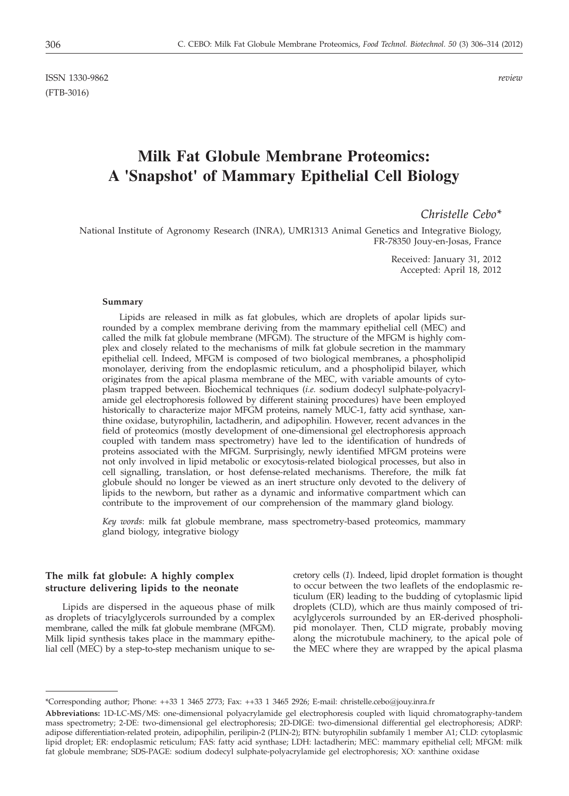ISSN 1330-9862 *review* (FTB-3016)

# **Milk Fat Globule Membrane Proteomics: A 'Snapshot' of Mammary Epithelial Cell Biology**

# *Christelle Cebo\**

National Institute of Agronomy Research (INRA), UMR1313 Animal Genetics and Integrative Biology, FR-78350 Jouy-en-Josas, France

> Received: January 31, 2012 Accepted: April 18, 2012

#### **Summary**

Lipids are released in milk as fat globules, which are droplets of apolar lipids surrounded by a complex membrane deriving from the mammary epithelial cell (MEC) and called the milk fat globule membrane (MFGM). The structure of the MFGM is highly complex and closely related to the mechanisms of milk fat globule secretion in the mammary epithelial cell. Indeed, MFGM is composed of two biological membranes, a phospholipid monolayer, deriving from the endoplasmic reticulum, and a phospholipid bilayer, which originates from the apical plasma membrane of the MEC, with variable amounts of cytoplasm trapped between. Biochemical techniques (*i.e.* sodium dodecyl sulphate-polyacrylamide gel electrophoresis followed by different staining procedures) have been employed historically to characterize major MFGM proteins, namely MUC-1, fatty acid synthase, xanthine oxidase, butyrophilin, lactadherin, and adipophilin. However, recent advances in the field of proteomics (mostly development of one-dimensional gel electrophoresis approach coupled with tandem mass spectrometry) have led to the identification of hundreds of proteins associated with the MFGM. Surprisingly, newly identified MFGM proteins were not only involved in lipid metabolic or exocytosis-related biological processes, but also in cell signalling, translation, or host defense-related mechanisms. Therefore, the milk fat globule should no longer be viewed as an inert structure only devoted to the delivery of lipids to the newborn, but rather as a dynamic and informative compartment which can contribute to the improvement of our comprehension of the mammary gland biology.

*Key words*: milk fat globule membrane, mass spectrometry-based proteomics, mammary gland biology, integrative biology

## **The milk fat globule: A highly complex structure delivering lipids to the neonate**

Lipids are dispersed in the aqueous phase of milk as droplets of triacylglycerols surrounded by a complex membrane, called the milk fat globule membrane (MFGM). Milk lipid synthesis takes place in the mammary epithelial cell (MEC) by a step-to-step mechanism unique to secretory cells (*1*). Indeed, lipid droplet formation is thought to occur between the two leaflets of the endoplasmic reticulum (ER) leading to the budding of cytoplasmic lipid droplets (CLD), which are thus mainly composed of triacylglycerols surrounded by an ER-derived phospholipid monolayer. Then, CLD migrate, probably moving along the microtubule machinery, to the apical pole of the MEC where they are wrapped by the apical plasma

<sup>\*</sup>Corresponding author; Phone: ++33 1 3465 2773; Fax: ++33 1 3465 2926; E-mail: christelle.cebo@jouy.inra.fr

**Abbreviations:** 1D-LC-MS/MS: one-dimensional polyacrylamide gel electrophoresis coupled with liquid chromatography-tandem mass spectrometry; 2-DE: two-dimensional gel electrophoresis; 2D-DIGE: two-dimensional differential gel electrophoresis; ADRP: adipose differentiation-related protein, adipophilin, perilipin-2 (PLIN-2); BTN: butyrophilin subfamily 1 member A1; CLD: cytoplasmic lipid droplet; ER: endoplasmic reticulum; FAS: fatty acid synthase; LDH: lactadherin; MEC: mammary epithelial cell; MFGM: milk fat globule membrane; SDS-PAGE: sodium dodecyl sulphate-polyacrylamide gel electrophoresis; XO: xanthine oxidase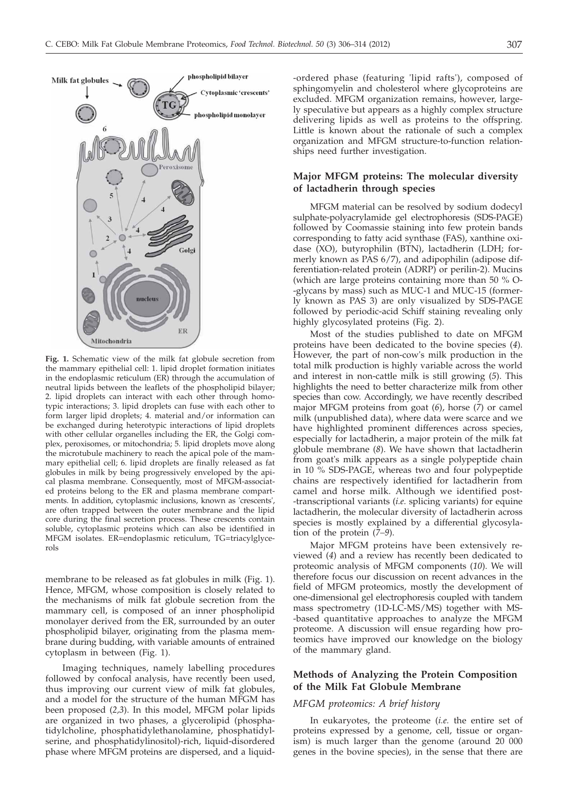

**Fig. 1.** Schematic view of the milk fat globule secretion from the mammary epithelial cell: 1. lipid droplet formation initiates in the endoplasmic reticulum (ER) through the accumulation of neutral lipids between the leaflets of the phospholipid bilayer; 2. lipid droplets can interact with each other through homotypic interactions; 3. lipid droplets can fuse with each other to form larger lipid droplets; 4. material and/or information can be exchanged during heterotypic interactions of lipid droplets with other cellular organelles including the ER, the Golgi complex, peroxisomes, or mitochondria; 5. lipid droplets move along the microtubule machinery to reach the apical pole of the mammary epithelial cell; 6. lipid droplets are finally released as fat globules in milk by being progressively enveloped by the apical plasma membrane. Consequently, most of MFGM-associated proteins belong to the ER and plasma membrane compartments. In addition, cytoplasmic inclusions, known as 'crescents', are often trapped between the outer membrane and the lipid core during the final secretion process. These crescents contain soluble, cytoplasmic proteins which can also be identified in MFGM isolates. ER=endoplasmic reticulum, TG=triacylglycerols

membrane to be released as fat globules in milk (Fig. 1). Hence, MFGM, whose composition is closely related to the mechanisms of milk fat globule secretion from the mammary cell, is composed of an inner phospholipid monolayer derived from the ER, surrounded by an outer phospholipid bilayer, originating from the plasma membrane during budding, with variable amounts of entrained cytoplasm in between (Fig. 1).

Imaging techniques, namely labelling procedures followed by confocal analysis, have recently been used, thus improving our current view of milk fat globules, and a model for the structure of the human MFGM has been proposed (*2,3*). In this model, MFGM polar lipids are organized in two phases, a glycerolipid (phosphatidylcholine, phosphatidylethanolamine, phosphatidylserine, and phosphatidylinositol)-rich, liquid-disordered phase where MFGM proteins are dispersed, and a liquid-

-ordered phase (featuring 'lipid rafts'), composed of sphingomyelin and cholesterol where glycoproteins are excluded. MFGM organization remains, however, largely speculative but appears as a highly complex structure delivering lipids as well as proteins to the offspring. Little is known about the rationale of such a complex organization and MFGM structure-to-function relationships need further investigation.

## **Major MFGM proteins: The molecular diversity of lactadherin through species**

MFGM material can be resolved by sodium dodecyl sulphate-polyacrylamide gel electrophoresis (SDS-PAGE) followed by Coomassie staining into few protein bands corresponding to fatty acid synthase (FAS), xanthine oxidase (XO), butyrophilin (BTN), lactadherin (LDH; formerly known as PAS 6/7), and adipophilin (adipose differentiation-related protein (ADRP) or perilin-2). Mucins (which are large proteins containing more than 50 % O- -glycans by mass) such as MUC-1 and MUC-15 (formerly known as PAS 3) are only visualized by SDS-PAGE followed by periodic-acid Schiff staining revealing only highly glycosylated proteins (Fig. 2).

Most of the studies published to date on MFGM proteins have been dedicated to the bovine species (*4*). However, the part of non-cow's milk production in the total milk production is highly variable across the world and interest in non-cattle milk is still growing (*5*). This highlights the need to better characterize milk from other species than cow. Accordingly, we have recently described major MFGM proteins from goat (*6*), horse (*7*) or camel milk (unpublished data), where data were scarce and we have highlighted prominent differences across species, especially for lactadherin, a major protein of the milk fat globule membrane (*8*). We have shown that lactadherin from goat's milk appears as a single polypeptide chain in 10 % SDS-PAGE, whereas two and four polypeptide chains are respectively identified for lactadherin from camel and horse milk. Although we identified post- -transcriptional variants (*i.e.* splicing variants) for equine lactadherin, the molecular diversity of lactadherin across species is mostly explained by a differential glycosylation of the protein (*7–9*).

Major MFGM proteins have been extensively reviewed (*4*) and a review has recently been dedicated to proteomic analysis of MFGM components (*10*). We will therefore focus our discussion on recent advances in the field of MFGM proteomics, mostly the development of one-dimensional gel electrophoresis coupled with tandem mass spectrometry (1D-LC-MS/MS) together with MS- -based quantitative approaches to analyze the MFGM proteome. A discussion will ensue regarding how proteomics have improved our knowledge on the biology of the mammary gland.

# **Methods of Analyzing the Protein Composition of the Milk Fat Globule Membrane**

#### *MFGM proteomics: A brief history*

In eukaryotes, the proteome (*i.e.* the entire set of proteins expressed by a genome, cell, tissue or organism) is much larger than the genome (around 20 000 genes in the bovine species), in the sense that there are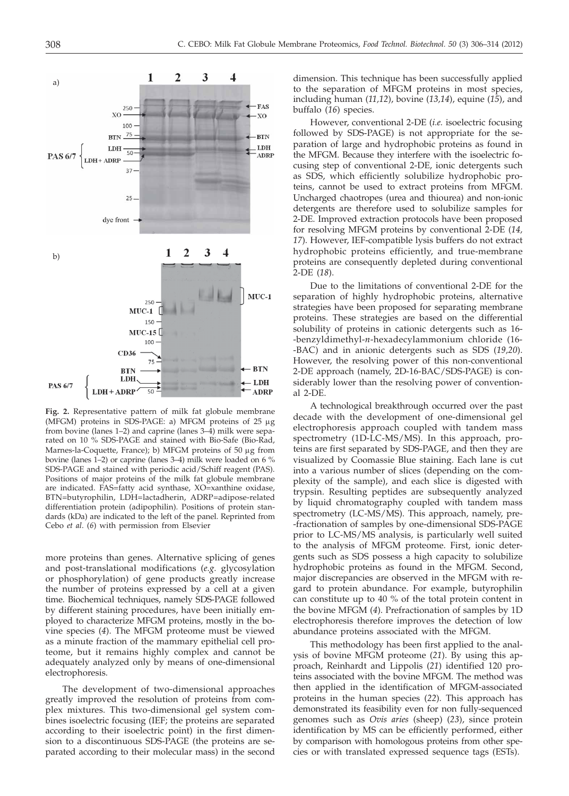

**Fig. 2.** Representative pattern of milk fat globule membrane (MFGM) proteins in SDS-PAGE: a) MFGM proteins of  $25 \mu$ g from bovine (lanes 1–2) and caprine (lanes 3–4) milk were separated on 10 % SDS-PAGE and stained with Bio-Safe (Bio-Rad, Marnes-la-Coquette, France); b) MFGM proteins of 50 µg from bovine (lanes 1–2) or caprine (lanes 3–4) milk were loaded on 6 % SDS-PAGE and stained with periodic acid/Schiff reagent (PAS). Positions of major proteins of the milk fat globule membrane are indicated. FAS=fatty acid synthase, XO=xanthine oxidase, BTN=butyrophilin, LDH=lactadherin, ADRP=adipose-related differentiation protein (adipophilin). Positions of protein standards (kDa) are indicated to the left of the panel. Reprinted from Cebo *et al*. (*6*) with permission from Elsevier

more proteins than genes. Alternative splicing of genes and post-translational modifications (*e.g.* glycosylation or phosphorylation) of gene products greatly increase the number of proteins expressed by a cell at a given time. Biochemical techniques, namely SDS-PAGE followed by different staining procedures, have been initially employed to characterize MFGM proteins, mostly in the bovine species (*4*). The MFGM proteome must be viewed as a minute fraction of the mammary epithelial cell proteome, but it remains highly complex and cannot be adequately analyzed only by means of one-dimensional electrophoresis.

The development of two-dimensional approaches greatly improved the resolution of proteins from complex mixtures. This two-dimensional gel system combines isoelectric focusing (IEF; the proteins are separated according to their isoelectric point) in the first dimension to a discontinuous SDS-PAGE (the proteins are separated according to their molecular mass) in the second

dimension. This technique has been successfully applied to the separation of MFGM proteins in most species, including human (*11,12*), bovine (*13,14*), equine (*15*), and buffalo (*16*) species.

However, conventional 2-DE (*i.e.* isoelectric focusing followed by SDS-PAGE) is not appropriate for the separation of large and hydrophobic proteins as found in the MFGM. Because they interfere with the isoelectric focusing step of conventional 2-DE, ionic detergents such as SDS, which efficiently solubilize hydrophobic proteins, cannot be used to extract proteins from MFGM. Uncharged chaotropes (urea and thiourea) and non-ionic detergents are therefore used to solubilize samples for 2-DE. Improved extraction protocols have been proposed for resolving MFGM proteins by conventional 2-DE (*14, 17*). However, IEF-compatible lysis buffers do not extract hydrophobic proteins efficiently, and true-membrane proteins are consequently depleted during conventional 2-DE (*18*).

Due to the limitations of conventional 2-DE for the separation of highly hydrophobic proteins, alternative strategies have been proposed for separating membrane proteins. These strategies are based on the differential solubility of proteins in cationic detergents such as 16- -benzyldimethyl-*n*-hexadecylammonium chloride (16- -BAC) and in anionic detergents such as SDS (*19,20*). However, the resolving power of this non-conventional 2-DE approach (namely, 2D-16-BAC/SDS-PAGE) is considerably lower than the resolving power of conventional 2-DE.

A technological breakthrough occurred over the past decade with the development of one-dimensional gel electrophoresis approach coupled with tandem mass spectrometry (1D-LC-MS/MS). In this approach, proteins are first separated by SDS-PAGE, and then they are visualized by Coomassie Blue staining. Each lane is cut into a various number of slices (depending on the complexity of the sample), and each slice is digested with trypsin. Resulting peptides are subsequently analyzed by liquid chromatography coupled with tandem mass spectrometry (LC-MS/MS). This approach, namely, pre- -fractionation of samples by one-dimensional SDS-PAGE prior to LC-MS/MS analysis, is particularly well suited to the analysis of MFGM proteome. First, ionic detergents such as SDS possess a high capacity to solubilize hydrophobic proteins as found in the MFGM. Second, major discrepancies are observed in the MFGM with regard to protein abundance. For example, butyrophilin can constitute up to 40 % of the total protein content in the bovine MFGM (*4*). Prefractionation of samples by 1D electrophoresis therefore improves the detection of low abundance proteins associated with the MFGM.

This methodology has been first applied to the analysis of bovine MFGM proteome (*21*). By using this approach, Reinhardt and Lippolis (*21*) identified 120 proteins associated with the bovine MFGM. The method was then applied in the identification of MFGM-associated proteins in the human species (*22*). This approach has demonstrated its feasibility even for non fully-sequenced genomes such as *Ovis aries* (sheep) (*23*), since protein identification by MS can be efficiently performed, either by comparison with homologous proteins from other species or with translated expressed sequence tags (ESTs).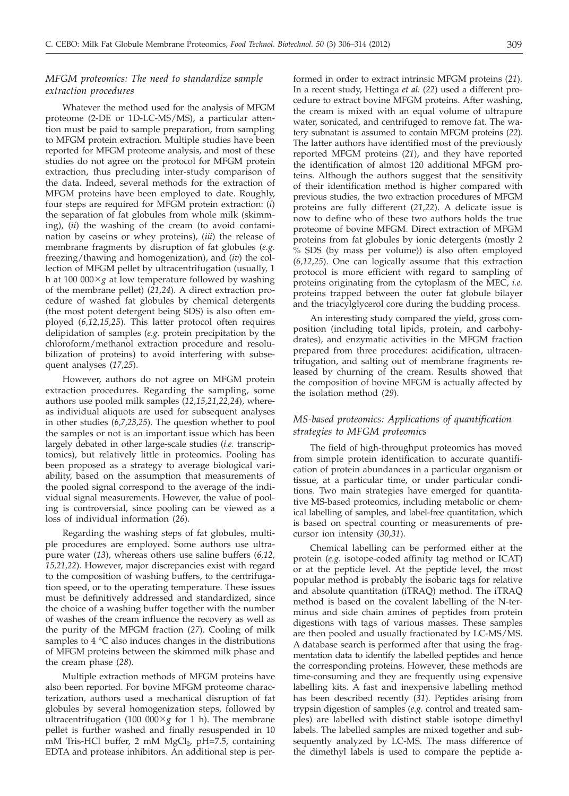# *MFGM proteomics: The need to standardize sample extraction procedures*

Whatever the method used for the analysis of MFGM proteome (2-DE or 1D-LC-MS/MS), a particular attention must be paid to sample preparation, from sampling to MFGM protein extraction. Multiple studies have been reported for MFGM proteome analysis, and most of these studies do not agree on the protocol for MFGM protein extraction, thus precluding inter-study comparison of the data. Indeed, several methods for the extraction of MFGM proteins have been employed to date. Roughly, four steps are required for MFGM protein extraction: (*i*) the separation of fat globules from whole milk (skimming), (*ii*) the washing of the cream (to avoid contamination by caseins or whey proteins), (*iii*) the release of membrane fragments by disruption of fat globules (*e.g.* freezing/thawing and homogenization), and (*iv*) the collection of MFGM pellet by ultracentrifugation (usually, 1 h at 100 000 $\times$ g at low temperature followed by washing of the membrane pellet) (*21,24*). A direct extraction procedure of washed fat globules by chemical detergents (the most potent detergent being SDS) is also often employed (*6,12,15,25*). This latter protocol often requires delipidation of samples (*e.g.* protein precipitation by the chloroform/methanol extraction procedure and resolubilization of proteins) to avoid interfering with subsequent analyses (*17,25*).

However, authors do not agree on MFGM protein extraction procedures. Regarding the sampling, some authors use pooled milk samples (*12,15,21,22,24*), whereas individual aliquots are used for subsequent analyses in other studies (*6,7,23,25*). The question whether to pool the samples or not is an important issue which has been largely debated in other large-scale studies (*i.e.* transcriptomics), but relatively little in proteomics. Pooling has been proposed as a strategy to average biological variability, based on the assumption that measurements of the pooled signal correspond to the average of the individual signal measurements. However, the value of pooling is controversial, since pooling can be viewed as a loss of individual information (*26*).

Regarding the washing steps of fat globules, multiple procedures are employed. Some authors use ultrapure water (*13*), whereas others use saline buffers (*6,12, 15,21,22*). However, major discrepancies exist with regard to the composition of washing buffers, to the centrifugation speed, or to the operating temperature. These issues must be definitively addressed and standardized, since the choice of a washing buffer together with the number of washes of the cream influence the recovery as well as the purity of the MFGM fraction (*27*). Cooling of milk samples to 4 °C also induces changes in the distributions of MFGM proteins between the skimmed milk phase and the cream phase (*28*).

Multiple extraction methods of MFGM proteins have also been reported. For bovine MFGM proteome characterization, authors used a mechanical disruption of fat globules by several homogenization steps, followed by ultracentrifugation (100 000 $\times$ g for 1 h). The membrane pellet is further washed and finally resuspended in 10 mM Tris-HCl buffer, 2 mM  $MgCl<sub>2</sub>$ , pH=7.5, containing EDTA and protease inhibitors. An additional step is performed in order to extract intrinsic MFGM proteins (*21*). In a recent study, Hettinga *et al.* (*22*) used a different procedure to extract bovine MFGM proteins. After washing, the cream is mixed with an equal volume of ultrapure water, sonicated, and centrifuged to remove fat. The watery subnatant is assumed to contain MFGM proteins (*22*). The latter authors have identified most of the previously reported MFGM proteins (*21*), and they have reported the identification of almost 120 additional MFGM proteins. Although the authors suggest that the sensitivity of their identification method is higher compared with previous studies, the two extraction procedures of MFGM proteins are fully different (*21,22*). A delicate issue is now to define who of these two authors holds the true proteome of bovine MFGM. Direct extraction of MFGM proteins from fat globules by ionic detergents (mostly 2 % SDS (by mass per volume)) is also often employed (*6,12,25*). One can logically assume that this extraction protocol is more efficient with regard to sampling of proteins originating from the cytoplasm of the MEC, *i.e.* proteins trapped between the outer fat globule bilayer and the triacylglycerol core during the budding process.

An interesting study compared the yield, gross composition (including total lipids, protein, and carbohydrates), and enzymatic activities in the MFGM fraction prepared from three procedures: acidification, ultracentrifugation, and salting out of membrane fragments released by churning of the cream. Results showed that the composition of bovine MFGM is actually affected by the isolation method (*29*).

## *MS-based proteomics: Applications of quantification strategies to MFGM proteomics*

The field of high-throughput proteomics has moved from simple protein identification to accurate quantification of protein abundances in a particular organism or tissue, at a particular time, or under particular conditions. Two main strategies have emerged for quantitative MS-based proteomics, including metabolic or chemical labelling of samples, and label-free quantitation, which is based on spectral counting or measurements of precursor ion intensity (*30,31*).

Chemical labelling can be performed either at the protein (*e.g.* isotope-coded affinity tag method or ICAT) or at the peptide level. At the peptide level, the most popular method is probably the isobaric tags for relative and absolute quantitation (iTRAQ) method. The iTRAQ method is based on the covalent labelling of the N-terminus and side chain amines of peptides from protein digestions with tags of various masses. These samples are then pooled and usually fractionated by LC-MS/MS. A database search is performed after that using the fragmentation data to identify the labelled peptides and hence the corresponding proteins. However, these methods are time-consuming and they are frequently using expensive labelling kits. A fast and inexpensive labelling method has been described recently (*31*). Peptides arising from trypsin digestion of samples (*e.g.* control and treated samples) are labelled with distinct stable isotope dimethyl labels. The labelled samples are mixed together and subsequently analyzed by LC-MS. The mass difference of the dimethyl labels is used to compare the peptide a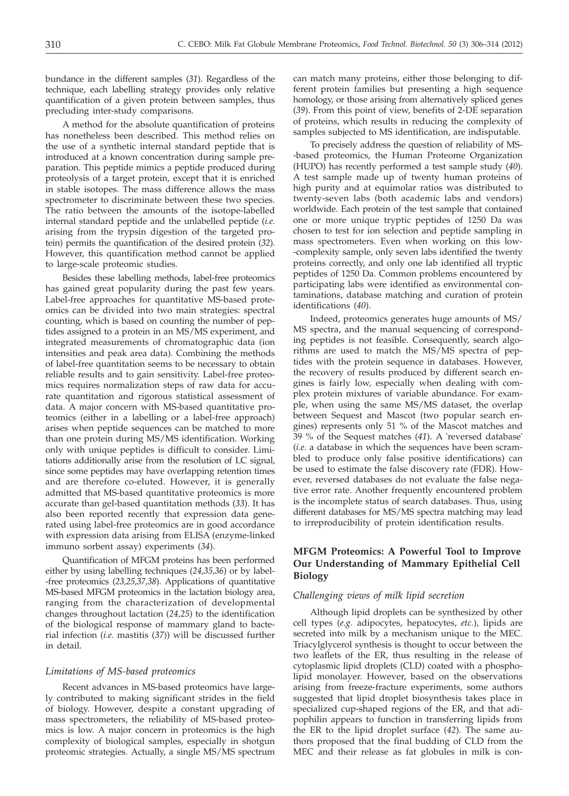bundance in the different samples (*31*). Regardless of the technique, each labelling strategy provides only relative quantification of a given protein between samples, thus precluding inter-study comparisons.

A method for the absolute quantification of proteins has nonetheless been described. This method relies on the use of a synthetic internal standard peptide that is introduced at a known concentration during sample preparation. This peptide mimics a peptide produced during proteolysis of a target protein, except that it is enriched in stable isotopes. The mass difference allows the mass spectrometer to discriminate between these two species. The ratio between the amounts of the isotope-labelled internal standard peptide and the unlabelled peptide (*i.e.* arising from the trypsin digestion of the targeted protein) permits the quantification of the desired protein (*32*). However, this quantification method cannot be applied to large-scale proteomic studies.

Besides these labelling methods, label-free proteomics has gained great popularity during the past few years. Label-free approaches for quantitative MS-based proteomics can be divided into two main strategies: spectral counting, which is based on counting the number of peptides assigned to a protein in an MS/MS experiment, and integrated measurements of chromatographic data (ion intensities and peak area data). Combining the methods of label-free quantitation seems to be necessary to obtain reliable results and to gain sensitivity. Label-free proteomics requires normalization steps of raw data for accurate quantitation and rigorous statistical assessment of data. A major concern with MS-based quantitative proteomics (either in a labelling or a label-free approach) arises when peptide sequences can be matched to more than one protein during MS/MS identification. Working only with unique peptides is difficult to consider. Limitations additionally arise from the resolution of LC signal, since some peptides may have overlapping retention times and are therefore co-eluted. However, it is generally admitted that MS-based quantitative proteomics is more accurate than gel-based quantitation methods (*33*). It has also been reported recently that expression data generated using label-free proteomics are in good accordance with expression data arising from ELISA (enzyme-linked immuno sorbent assay) experiments (*34*).

Quantification of MFGM proteins has been performed either by using labelling techniques (*24,35,36*) or by label- -free proteomics (*23,25,37,38*). Applications of quantitative MS-based MFGM proteomics in the lactation biology area, ranging from the characterization of developmental changes throughout lactation (*24,25*) to the identification of the biological response of mammary gland to bacterial infection (*i.e.* mastitis (*37*)) will be discussed further in detail.

## *Limitations of MS-based proteomics*

Recent advances in MS-based proteomics have largely contributed to making significant strides in the field of biology. However, despite a constant upgrading of mass spectrometers, the reliability of MS-based proteomics is low. A major concern in proteomics is the high complexity of biological samples, especially in shotgun proteomic strategies. Actually, a single MS/MS spectrum can match many proteins, either those belonging to different protein families but presenting a high sequence homology, or those arising from alternatively spliced genes (*39*). From this point of view, benefits of 2-DE separation of proteins, which results in reducing the complexity of samples subjected to MS identification, are indisputable.

To precisely address the question of reliability of MS- -based proteomics, the Human Proteome Organization (HUPO) has recently performed a test sample study (*40*). A test sample made up of twenty human proteins of high purity and at equimolar ratios was distributed to twenty-seven labs (both academic labs and vendors) worldwide. Each protein of the test sample that contained one or more unique tryptic peptides of 1250 Da was chosen to test for ion selection and peptide sampling in mass spectrometers. Even when working on this low- -complexity sample, only seven labs identified the twenty proteins correctly, and only one lab identified all tryptic peptides of 1250 Da. Common problems encountered by participating labs were identified as environmental contaminations, database matching and curation of protein identifications (*40*).

Indeed, proteomics generates huge amounts of MS/ MS spectra, and the manual sequencing of corresponding peptides is not feasible. Consequently, search algorithms are used to match the MS/MS spectra of peptides with the protein sequence in databases. However, the recovery of results produced by different search engines is fairly low, especially when dealing with complex protein mixtures of variable abundance. For example, when using the same MS/MS dataset, the overlap between Sequest and Mascot (two popular search engines) represents only 51 % of the Mascot matches and 39 % of the Sequest matches (*41*). A 'reversed database' (*i.e.* a database in which the sequences have been scrambled to produce only false positive identifications) can be used to estimate the false discovery rate (FDR). However, reversed databases do not evaluate the false negative error rate. Another frequently encountered problem is the incomplete status of search databases. Thus, using different databases for MS/MS spectra matching may lead to irreproducibility of protein identification results.

# **MFGM Proteomics: A Powerful Tool to Improve Our Understanding of Mammary Epithelial Cell Biology**

#### *Challenging views of milk lipid secretion*

Although lipid droplets can be synthesized by other cell types (*e.g.* adipocytes, hepatocytes, *etc.*), lipids are secreted into milk by a mechanism unique to the MEC. Triacylglycerol synthesis is thought to occur between the two leaflets of the ER, thus resulting in the release of cytoplasmic lipid droplets (CLD) coated with a phospholipid monolayer. However, based on the observations arising from freeze-fracture experiments, some authors suggested that lipid droplet biosynthesis takes place in specialized cup-shaped regions of the ER, and that adipophilin appears to function in transferring lipids from the ER to the lipid droplet surface (*42*). The same authors proposed that the final budding of CLD from the MEC and their release as fat globules in milk is con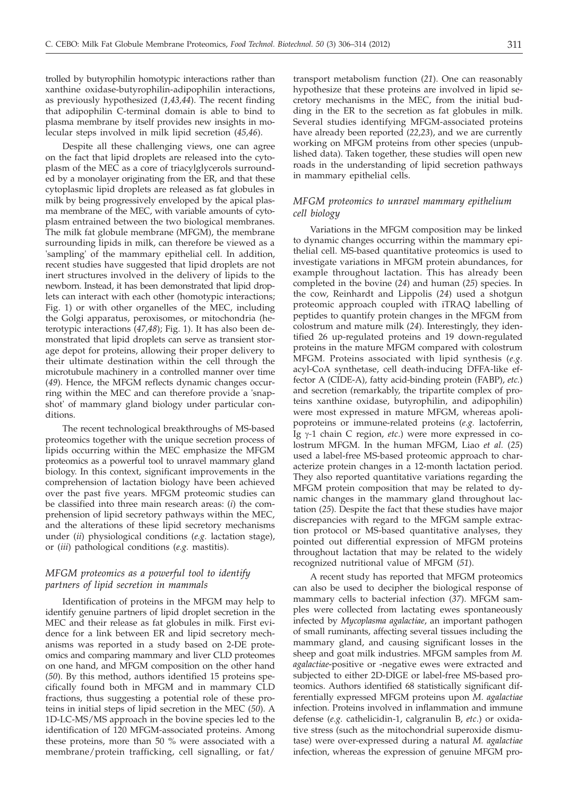trolled by butyrophilin homotypic interactions rather than xanthine oxidase-butyrophilin-adipophilin interactions, as previously hypothesized (*1,43,44*). The recent finding that adipophilin C-terminal domain is able to bind to plasma membrane by itself provides new insights in molecular steps involved in milk lipid secretion (*45,46*).

Despite all these challenging views, one can agree on the fact that lipid droplets are released into the cytoplasm of the MEC as a core of triacylglycerols surrounded by a monolayer originating from the ER, and that these cytoplasmic lipid droplets are released as fat globules in milk by being progressively enveloped by the apical plasma membrane of the MEC, with variable amounts of cytoplasm entrained between the two biological membranes. The milk fat globule membrane (MFGM), the membrane surrounding lipids in milk, can therefore be viewed as a 'sampling' of the mammary epithelial cell. In addition, recent studies have suggested that lipid droplets are not inert structures involved in the delivery of lipids to the newborn. Instead, it has been demonstrated that lipid droplets can interact with each other (homotypic interactions; Fig. 1) or with other organelles of the MEC, including the Golgi apparatus, peroxisomes, or mitochondria (heterotypic interactions (*47,48*); Fig. 1). It has also been demonstrated that lipid droplets can serve as transient storage depot for proteins, allowing their proper delivery to their ultimate destination within the cell through the microtubule machinery in a controlled manner over time (*49*). Hence, the MFGM reflects dynamic changes occurring within the MEC and can therefore provide a 'snapshot' of mammary gland biology under particular conditions.

The recent technological breakthroughs of MS-based proteomics together with the unique secretion process of lipids occurring within the MEC emphasize the MFGM proteomics as a powerful tool to unravel mammary gland biology. In this context, significant improvements in the comprehension of lactation biology have been achieved over the past five years. MFGM proteomic studies can be classified into three main research areas: (*i*) the comprehension of lipid secretory pathways within the MEC, and the alterations of these lipid secretory mechanisms under (*ii*) physiological conditions (*e.g.* lactation stage), or (*iii*) pathological conditions (*e.g.* mastitis).

# *MFGM proteomics as a powerful tool to identify partners of lipid secretion in mammals*

Identification of proteins in the MFGM may help to identify genuine partners of lipid droplet secretion in the MEC and their release as fat globules in milk. First evidence for a link between ER and lipid secretory mechanisms was reported in a study based on 2-DE proteomics and comparing mammary and liver CLD proteomes on one hand, and MFGM composition on the other hand (*50*). By this method, authors identified 15 proteins specifically found both in MFGM and in mammary CLD fractions, thus suggesting a potential role of these proteins in initial steps of lipid secretion in the MEC (*50*). A 1D-LC-MS/MS approach in the bovine species led to the identification of 120 MFGM-associated proteins. Among these proteins, more than 50 % were associated with a membrane/protein trafficking, cell signalling, or fat/

transport metabolism function (*21*). One can reasonably hypothesize that these proteins are involved in lipid secretory mechanisms in the MEC, from the initial budding in the ER to the secretion as fat globules in milk. Several studies identifying MFGM-associated proteins have already been reported (*22,23*), and we are currently working on MFGM proteins from other species (unpublished data). Taken together, these studies will open new roads in the understanding of lipid secretion pathways in mammary epithelial cells.

# *MFGM proteomics to unravel mammary epithelium cell biology*

Variations in the MFGM composition may be linked to dynamic changes occurring within the mammary epithelial cell. MS-based quantitative proteomics is used to investigate variations in MFGM protein abundances, for example throughout lactation. This has already been completed in the bovine (*24*) and human (*25*) species. In the cow, Reinhardt and Lippolis (*24*) used a shotgun proteomic approach coupled with iTRAQ labelling of peptides to quantify protein changes in the MFGM from colostrum and mature milk (*24*). Interestingly, they identified 26 up-regulated proteins and 19 down-regulated proteins in the mature MFGM compared with colostrum MFGM. Proteins associated with lipid synthesis (*e.g.* acyl-CoA synthetase, cell death-inducing DFFA-like effector A (CIDE-A), fatty acid-binding protein (FABP), *etc.*) and secretion (remarkably, the tripartite complex of proteins xanthine oxidase, butyrophilin, and adipophilin) were most expressed in mature MFGM, whereas apolipoproteins or immune-related proteins (*e.g.* lactoferrin, Ig γ-1 chain C region, *etc*.) were more expressed in colostrum MFGM. In the human MFGM, Liao *et al.* (*25*) used a label-free MS-based proteomic approach to characterize protein changes in a 12-month lactation period. They also reported quantitative variations regarding the MFGM protein composition that may be related to dynamic changes in the mammary gland throughout lactation (*25*). Despite the fact that these studies have major discrepancies with regard to the MFGM sample extraction protocol or MS-based quantitative analyses, they pointed out differential expression of MFGM proteins throughout lactation that may be related to the widely recognized nutritional value of MFGM (*51*).

A recent study has reported that MFGM proteomics can also be used to decipher the biological response of mammary cells to bacterial infection (*37*). MFGM samples were collected from lactating ewes spontaneously infected by *Mycoplasma agalactiae*, an important pathogen of small ruminants, affecting several tissues including the mammary gland, and causing significant losses in the sheep and goat milk industries. MFGM samples from *M. agalactiae*-positive or -negative ewes were extracted and subjected to either 2D-DIGE or label-free MS-based proteomics. Authors identified 68 statistically significant differentially expressed MFGM proteins upon *M. agalactiae* infection. Proteins involved in inflammation and immune defense (*e.g.* cathelicidin-1, calgranulin B, *etc*.) or oxidative stress (such as the mitochondrial superoxide dismutase) were over-expressed during a natural *M. agalactiae* infection, whereas the expression of genuine MFGM pro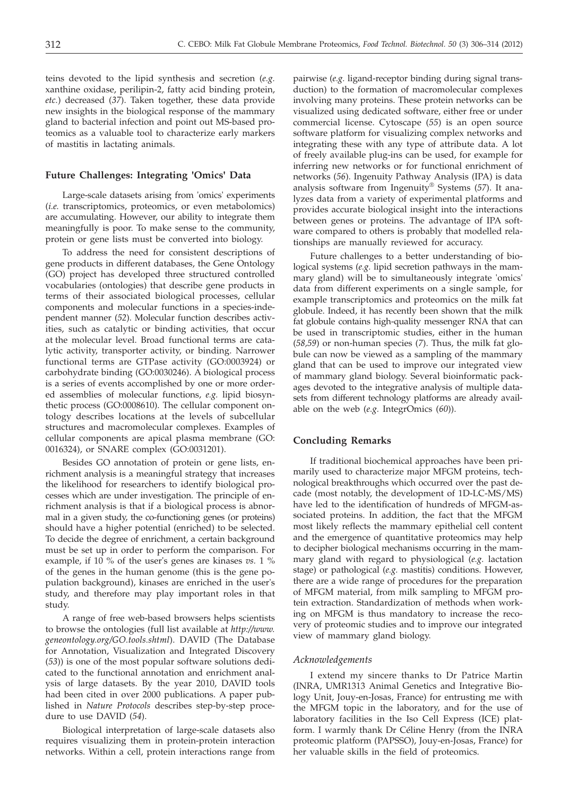teins devoted to the lipid synthesis and secretion (*e.g.* xanthine oxidase, perilipin-2, fatty acid binding protein, *etc.*) decreased (*37*). Taken together, these data provide new insights in the biological response of the mammary gland to bacterial infection and point out MS-based proteomics as a valuable tool to characterize early markers of mastitis in lactating animals.

## **Future Challenges: Integrating 'Omics' Data**

Large-scale datasets arising from 'omics' experiments (*i.e.* transcriptomics, proteomics, or even metabolomics) are accumulating. However, our ability to integrate them meaningfully is poor. To make sense to the community, protein or gene lists must be converted into biology.

To address the need for consistent descriptions of gene products in different databases, the Gene Ontology (GO) project has developed three structured controlled vocabularies (ontologies) that describe gene products in terms of their associated biological processes, cellular components and molecular functions in a species-independent manner (*52*). Molecular function describes activities, such as catalytic or binding activities, that occur at the molecular level. Broad functional terms are catalytic activity, transporter activity, or binding. Narrower functional terms are GTPase activity (GO:0003924) or carbohydrate binding (GO:0030246). A biological process is a series of events accomplished by one or more ordered assemblies of molecular functions, *e.g.* lipid biosynthetic process (GO:0008610). The cellular component ontology describes locations at the levels of subcellular structures and macromolecular complexes. Examples of cellular components are apical plasma membrane (GO: 0016324), or SNARE complex (GO:0031201).

Besides GO annotation of protein or gene lists, enrichment analysis is a meaningful strategy that increases the likelihood for researchers to identify biological processes which are under investigation. The principle of enrichment analysis is that if a biological process is abnormal in a given study, the co-functioning genes (or proteins) should have a higher potential (enriched) to be selected. To decide the degree of enrichment, a certain background must be set up in order to perform the comparison. For example, if 10 % of the user's genes are kinases *vs.* 1 % of the genes in the human genome (this is the gene population background), kinases are enriched in the user's study, and therefore may play important roles in that study.

A range of free web-based browsers helps scientists to browse the ontologies (full list available at *http://www. geneontology.org/GO.tools.shtml*). DAVID (The Database for Annotation, Visualization and Integrated Discovery (*53*)) is one of the most popular software solutions dedicated to the functional annotation and enrichment analysis of large datasets. By the year 2010, DAVID tools had been cited in over 2000 publications. A paper published in *Nature Protocols* describes step-by-step procedure to use DAVID (*54*).

Biological interpretation of large-scale datasets also requires visualizing them in protein-protein interaction networks. Within a cell, protein interactions range from

pairwise (*e.g.* ligand-receptor binding during signal transduction) to the formation of macromolecular complexes involving many proteins. These protein networks can be visualized using dedicated software, either free or under commercial license. Cytoscape (*55*) is an open source software platform for visualizing complex networks and integrating these with any type of attribute data. A lot of freely available plug-ins can be used, for example for inferring new networks or for functional enrichment of networks (*56*). Ingenuity Pathway Analysis (IPA) is data analysis software from Ingenuity® Systems (*57*). It analyzes data from a variety of experimental platforms and provides accurate biological insight into the interactions between genes or proteins. The advantage of IPA software compared to others is probably that modelled relationships are manually reviewed for accuracy.

Future challenges to a better understanding of biological systems (*e.g.* lipid secretion pathways in the mammary gland) will be to simultaneously integrate 'omics' data from different experiments on a single sample, for example transcriptomics and proteomics on the milk fat globule. Indeed, it has recently been shown that the milk fat globule contains high-quality messenger RNA that can be used in transcriptomic studies, either in the human (*58,59*) or non-human species (*7*). Thus, the milk fat globule can now be viewed as a sampling of the mammary gland that can be used to improve our integrated view of mammary gland biology. Several bioinformatic packages devoted to the integrative analysis of multiple datasets from different technology platforms are already available on the web (*e.g.* IntegrOmics (*60*)).

## **Concluding Remarks**

If traditional biochemical approaches have been primarily used to characterize major MFGM proteins, technological breakthroughs which occurred over the past decade (most notably, the development of 1D-LC-MS/MS) have led to the identification of hundreds of MFGM-associated proteins. In addition, the fact that the MFGM most likely reflects the mammary epithelial cell content and the emergence of quantitative proteomics may help to decipher biological mechanisms occurring in the mammary gland with regard to physiological (*e.g.* lactation stage) or pathological (*e.g.* mastitis) conditions. However, there are a wide range of procedures for the preparation of MFGM material, from milk sampling to MFGM protein extraction. Standardization of methods when working on MFGM is thus mandatory to increase the recovery of proteomic studies and to improve our integrated view of mammary gland biology.

#### *Acknowledgements*

I extend my sincere thanks to Dr Patrice Martin (INRA, UMR1313 Animal Genetics and Integrative Biology Unit, Jouy-en-Josas, France) for entrusting me with the MFGM topic in the laboratory, and for the use of laboratory facilities in the Iso Cell Express (ICE) platform. I warmly thank Dr Céline Henry (from the INRA proteomic platform (PAPSSO), Jouy-en-Josas, France) for her valuable skills in the field of proteomics.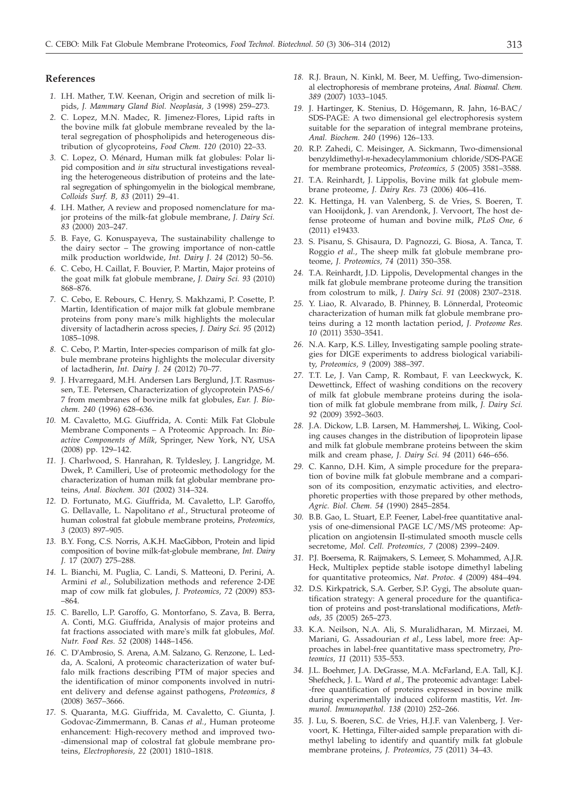#### **References**

- *1.* I.H. Mather, T.W. Keenan, Origin and secretion of milk lipids, *J. Mammary Gland Biol. Neoplasia, 3* (1998) 259–273.
- *2.* C. Lopez, M.N. Madec, R. Jimenez-Flores, Lipid rafts in the bovine milk fat globule membrane revealed by the lateral segregation of phospholipids and heterogeneous distribution of glycoproteins, *Food Chem. 120* (2010) 22–33.
- *3.* C. Lopez, O. Ménard, Human milk fat globules: Polar lipid composition and *in situ* structural investigations revealing the heterogeneous distribution of proteins and the lateral segregation of sphingomyelin in the biological membrane, *Colloids Surf. B, 83* (2011) 29–41.
- *4.* I.H. Mather, A review and proposed nomenclature for major proteins of the milk-fat globule membrane, *J. Dairy Sci. 83* (2000) 203–247.
- *5.* B. Faye, G. Konuspayeva, The sustainability challenge to the dairy sector – The growing importance of non-cattle milk production worldwide, *Int. Dairy J. 24* (2012) 50–56.
- *6.* C. Cebo, H. Caillat, F. Bouvier, P. Martin, Major proteins of the goat milk fat globule membrane, *J. Dairy Sci. 93* (2010) 868–876.
- *7.* C. Cebo, E. Rebours, C. Henry, S. Makhzami, P. Cosette, P. Martin, Identification of major milk fat globule membrane proteins from pony mare's milk highlights the molecular diversity of lactadherin across species, *J. Dairy Sci. 95* (2012) 1085–1098.
- *8.* C. Cebo, P. Martin, Inter-species comparison of milk fat globule membrane proteins highlights the molecular diversity of lactadherin, *Int. Dairy J. 24* (2012) 70–77.
- *9.* J. Hvarregaard, M.H. Andersen Lars Berglund, J.T. Rasmussen, T.E. Petersen, Characterization of glycoprotein PAS-6/ 7 from membranes of bovine milk fat globules, *Eur. J. Biochem. 240* (1996) 628–636.
- *10.* M. Cavaletto, M.G. Giuffrida, A. Conti: Milk Fat Globule Membrane Components – A Proteomic Approach. In: *Bioactive Components of Milk*, Springer, New York, NY, USA (2008) pp. 129–142.
- *11.* J. Charlwood, S. Hanrahan, R. Tyldesley, J. Langridge, M. Dwek, P. Camilleri, Use of proteomic methodology for the characterization of human milk fat globular membrane proteins, *Anal. Biochem. 301* (2002) 314–324.
- *12.* D. Fortunato, M.G. Giuffrida, M. Cavaletto, L.P. Garoffo, G. Dellavalle, L. Napolitano *et al.*, Structural proteome of human colostral fat globule membrane proteins, *Proteomics, 3* (2003) 897–905.
- *13.* B.Y. Fong, C.S. Norris, A.K.H. MacGibbon, Protein and lipid composition of bovine milk-fat-globule membrane, *Int. Dairy J.* 17 (2007) 275–288.
- *14.* L. Bianchi, M. Puglia, C. Landi, S. Matteoni, D. Perini, A. Armini *et al.*, Solubilization methods and reference 2-DE map of cow milk fat globules, *J. Proteomics, 72* (2009) 853- –864.
- *15.* C. Barello, L.P. Garoffo, G. Montorfano, S. Zava, B. Berra, A. Conti, M.G. Giuffrida, Analysis of major proteins and fat fractions associated with mare's milk fat globules, *Mol. Nutr. Food Res. 52* (2008) 1448–1456.
- *16.* C. D'Ambrosio, S. Arena, A.M. Salzano, G. Renzone, L. Ledda, A. Scaloni, A proteomic characterization of water buffalo milk fractions describing PTM of major species and the identification of minor components involved in nutrient delivery and defense against pathogens, *Proteomics, 8* (2008) 3657–3666.
- *17.* S. Quaranta, M.G. Giuffrida, M. Cavaletto, C. Giunta, J. Godovac-Zimmermann, B. Canas *et al.*, Human proteome enhancement: High-recovery method and improved two- -dimensional map of colostral fat globule membrane proteins, *Electrophoresis, 22* (2001) 1810–1818.
- *18.* R.J. Braun, N. Kinkl, M. Beer, M. Ueffing, Two-dimensional electrophoresis of membrane proteins, *Anal. Bioanal. Chem. 389* (2007) 1033–1045.
- *19.* J. Hartinger, K. Stenius, D. Högemann, R. Jahn, 16-BAC/ SDS-PAGE: A two dimensional gel electrophoresis system suitable for the separation of integral membrane proteins, *Anal. Biochem. 240* (1996) 126–133.
- *20.* R.P. Zahedi, C. Meisinger, A. Sickmann, Two-dimensional benzyldimethyl-*n*-hexadecylammonium chloride/SDS-PAGE for membrane proteomics, *Proteomics, 5* (2005) 3581–3588.
- *21.* T.A. Reinhardt, J. Lippolis, Bovine milk fat globule membrane proteome, *J. Dairy Res. 73* (2006) 406–416.
- *22.* K. Hettinga, H. van Valenberg, S. de Vries, S. Boeren, T. van Hooijdonk, J. van Arendonk, J. Vervoort, The host defense proteome of human and bovine milk, *PLoS One, 6* (2011) e19433.
- *23.* S. Pisanu, S. Ghisaura, D. Pagnozzi, G. Biosa, A. Tanca, T. Roggio *et al.*, The sheep milk fat globule membrane proteome, *J. Proteomics, 74* (2011) 350–358.
- *24.* T.A. Reinhardt, J.D. Lippolis, Developmental changes in the milk fat globule membrane proteome during the transition from colostrum to milk, *J. Dairy Sci. 91* (2008) 2307–2318.
- *25.* Y. Liao, R. Alvarado, B. Phinney, B. Lönnerdal, Proteomic characterization of human milk fat globule membrane proteins during a 12 month lactation period, *J. Proteome Res. 10* (2011) 3530–3541.
- *26.* N.A. Karp, K.S. Lilley, Investigating sample pooling strategies for DIGE experiments to address biological variability, *Proteomics, 9* (2009) 388–397.
- *27.* T.T. Le, J. Van Camp, R. Rombaut, F. van Leeckwyck, K. Dewettinck, Effect of washing conditions on the recovery of milk fat globule membrane proteins during the isolation of milk fat globule membrane from milk, *J. Dairy Sci. 92* (2009) 3592–3603.
- *28.* J.A. Dickow, L.B. Larsen, M. Hammershøj, L. Wiking, Cooling causes changes in the distribution of lipoprotein lipase and milk fat globule membrane proteins between the skim milk and cream phase, *J. Dairy Sci. 94* (2011) 646–656.
- *29.* C. Kanno, D.H. Kim, A simple procedure for the preparation of bovine milk fat globule membrane and a comparison of its composition, enzymatic activities, and electrophoretic properties with those prepared by other methods, *Agric. Biol. Chem. 54* (1990) 2845–2854.
- *30.* B.B. Gao, L. Stuart, E.P. Feener, Label-free quantitative analysis of one-dimensional PAGE LC/MS/MS proteome: Application on angiotensin II-stimulated smooth muscle cells secretome, *Mol. Cell. Proteomics, 7* (2008) 2399–2409.
- *31.* P.J. Boersema, R. Raijmakers, S. Lemeer, S. Mohammed, A.J.R. Heck, Multiplex peptide stable isotope dimethyl labeling for quantitative proteomics, *Nat. Protoc. 4* (2009) 484–494.
- *32.* D.S. Kirkpatrick, S.A. Gerber, S.P. Gygi, The absolute quantification strategy: A general procedure for the quantification of proteins and post-translational modifications, *Methods, 35* (2005) 265–273.
- *33.* K.A. Neilson, N.A. Ali, S. Muralidharan, M. Mirzaei, M. Mariani, G. Assadourian *et al.*, Less label, more free: Approaches in label-free quantitative mass spectrometry, *Proteomics, 11* (2011) 535–553.
- *34.* J.L. Boehmer, J.A. DeGrasse, M.A. McFarland, E.A. Tall, K.J. Shefcheck, J. L. Ward *et al.*, The proteomic advantage: Label- -free quantification of proteins expressed in bovine milk during experimentally induced coliform mastitis, *Vet. Immunol. Immunopathol. 138* (2010) 252–266.
- *35.* J. Lu, S. Boeren, S.C. de Vries, H.J.F. van Valenberg, J. Vervoort, K. Hettinga, Filter-aided sample preparation with dimethyl labeling to identify and quantify milk fat globule membrane proteins, *J. Proteomics, 75* (2011) 34–43.